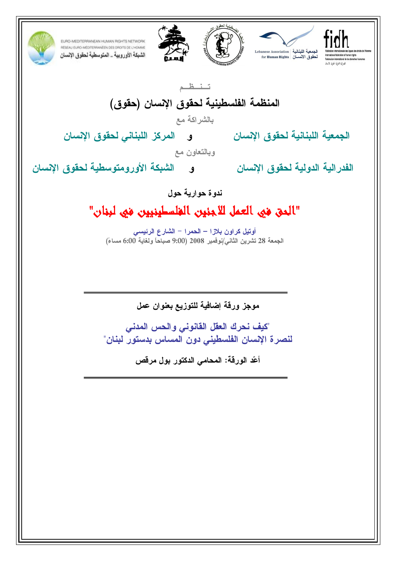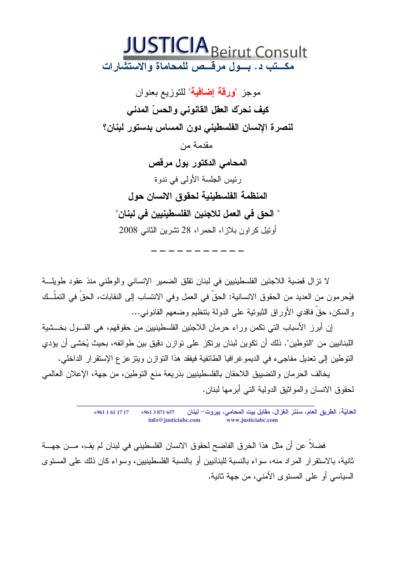

موجز "**ورقة إضافية**" للتوزيع بعنوان كيف نحرّك العقل القانوني والحسّ المدنى لنصرة الإنسان الفلسطيني دون المساس بدستور لبنان؟ مقدمة من المحامي الدكتور بول مرقص رئيس الجلسة الأولى في ندوة المنظمة الفلسطينية لحقوق الانسان حول " الحق في العمل للاجئين الفلسطينيين في لبنان" أوتيل كر اون بلاز ا، الحمر ا، 28 تشرين الثانبي 2008

لا نتزال قضية اللاجئين الفلسطينيين في لبنان نقلق الضمير الإنساني والوطني منذ عقود طويلـــة فيُحرمون من العديد من الحقوق الانسانية: الحقِّ في العمل وفي الانتساب إلى النقابات، الحقِّ في التملُّــك و السكن، حقَّ فاقدى الأور اق الثبوتية على الدولة بتنظيم وضعهم القانوني...

إن أبرز الأسباب التي تكمن وراء حرمان اللاجئين الفلسطينيين من حقوقهم، هي القـــول بخـــشية اللبنانيين من "التوطين". ذلك أن تكوين لبنان يرتكز على توازن دقيق بين طوائفه، بحيث يُخشى أن يؤدي التوطين إلى تعديل مفاجىء في الديمو غرافيا الطائفية فيفقد هذا التوازن ويتزعزع الإستقرار الداخلي.

يخالف الحرمان والتضييق اللاحقان بالفلسطينيين بذريعة منع التوطين، من جهة، الإعلان العالمي لحقوق الانسان والمواثيق الدولية التبي أبرمها لبنان.

> العدليّة، الطريق العام، سنتر الغزال، مقابل بيت المحامى، بيروت– لبنان  $+9611611717$  $+9613871657$ info@justiciabc.com www.justiciabc.com

فضلا عن أن مثل هذا الخرق الفاضح لحقوق الانسان الفلسطيني في لبنان لم يفءِ مـــن جهــــة ثانية، بالاستقر ار المر اد منه، سواء بالنسبة للبنانيين أو بالنسبة الفلسطينيين، وسواء كان ذلك على المستوى السياسي أو على المستوى الأمني، من جهة ثانية.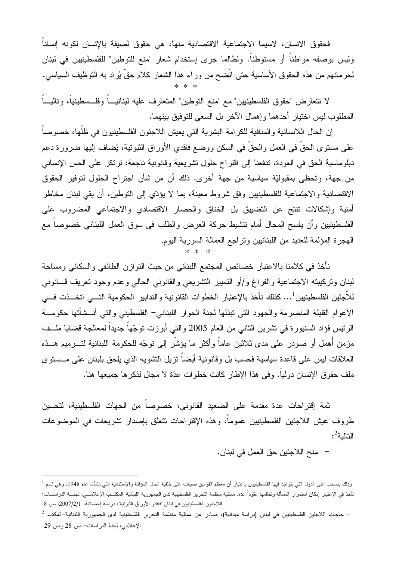فحقوق الانسان، لاسبما الاجتماعية الاقتصادية منها، هي حقوق لصبقة بالإنسان لكونه إنساناً وليس بوصفه مواطنا أو مستوطنا. ولطالما جرى إستخدام شعار "منع للتوطين" للفلسطينيين في لبنان لحرمانهم من هذه الحقوق الأساسية حتى انضح من وراء هذا الشعار كلام حق يُراد به النوظيف السياسي.

لا نتعارض "حقوق الفلسطينيين" مع "منع التوطين" المتعارف عليه لبنانيـــاً وفلــسطينياً، وتاليـــاً المطلوب ليس اختيار أحدهما وإهمال الآخر بل السعى للتوفيق بينهما.

إن الحال اللانسانية والمنافية للكرامة البشرية التي يعيش اللاجئون الفلسطينيون في ظلُّها، خصوصاً على مستوى الحقِّ في العمل والحقِّ في السكن ووضع فاقدي الأوراق الثبونية، يُضاف إليها ضرورة دعم دبلوماسية الحق في العودة، ندفعنا إلى اقتراح حلول تشريعية وقانونية ناجعة، نرتكز على الحس الإنساني من جهة، وتحظى بمقبوليّة سياسية من جهة أخرى. ذلك أن من شأن اجتراح الحلول لتوفير الحقوق الاقتصادية والاجتماعية للفلسطينيين وفق شروط معينة، بما لا يؤدّي إلى التوطين، أن يقى لبنان مخاطر أمنية وإشكالات نتنج عن التضييق بل الخناق والحصار الاقتصادي والاجتماعي المضروب على الفلسطينيين وأن يفسح المجال أمام نتشيط حركة العرض والطلب في سوق العمل اللبناني خصوصاً مع الهجرة المؤلمة للعديد من اللبنانيين ونراجع العمالة السورية اليوم.

نأخذ في كلامنا بالاعتبار خصائص المجتمع اللبناني من حيث التوازن الطائفي والسكاني ومساحة لبنان وتركيبته الاجتماعية والفراغ و/أو التمييز التشريعي والقانوني الحالبي وعدم وجود تعريف قسانوني للأجئين الفلسطينيين<sup>1</sup>... كذلك نأخذ بالإعتبار الخطوات القانونية والتدابير الحكومية التـــى اتخـــذت فـــى الأعوام القليلة المنصرمة والجهود التي نبذلها لجنة الحوار اللبناني– الفلسطيني والتي أنسشأتها حكومسة الرئيس فؤاد السنيورة في تشرين الثاني من العام 2005 والتي أبرزت توجّهاً جديداً لمعالجة قضايا ملــف مزمن أهمل أو صودر على مدى ثلاثين عاماً وأكثر ما يؤشَّر إلى نوجّه للحكومة اللبنانية لتـــرميم هـــذه العلاقات ليس على قاعدة سياسية فحسب بل وقانونية أيضاً تزيل التشويه الذي يلحق بلبنان على مــستوى ملف حقوق الإنسان دولياً. وفي هذا الإطار كانت خطوات عدّة لا مجال لذكر ها جميعها هنا.

ثمة إقتراحات عدة مقدمة على الصعيد القانوني، خصوصاً من الجهات الفلسطينية، لتحسين ظروف عيش اللاجئين الفلسطينيين عموما، وهذه الإقتراحات نتعلق بإصدار نشريعات في الموضوعات التالبة2:

– منح اللاجئين حق العمل في لبنان.

وذلك بنسحب على الدول التي بنواجد فيها الفلسطينيون باعتبار أن معظم القوانين صيغت على خلفية الحال المؤقتة والإستثنائية التي نشأت عام 1948، وهي لـــم <sup>1</sup> تأخذ في الإعتبار إمكان استمرار المسألة وتفاقمها عقوداً عدة. ممثلية منظمة التحرير الفلسطينية لدى الجمهورية اللبنانية–المكتــب الإعلامـــي، لجنـــة الدراســـات: اللاجئون الفلسطينيون في لبنان "فاقدو الأوراق الشونية"، دراسة إحصائية، 2007/2/1، ص 8.

<sup>–</sup> حاجات اللاجئين الفلسطينيين في لبنان (دراسة ميدانية)، صادر عن ممثلية منظمة التحرير الفلسطينية لدى الجمهورية اللبنانية–المكتب <sup>2</sup> الإعلامي، لجنة الدراسات- ص 28 وص 29.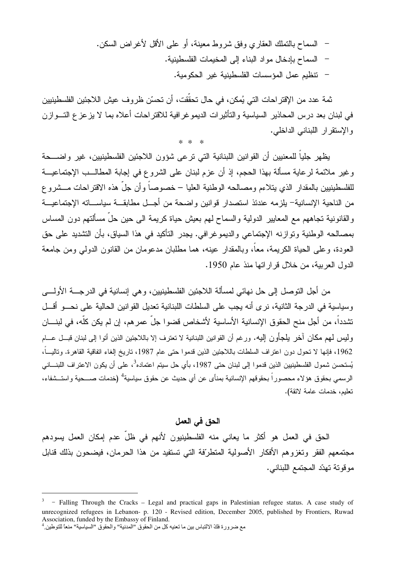– السماح بالنملك العقاري وفق شروط معينة، أو على الأقل لأغراض السكن. – السماح بإدخال مواد البناء إلى المخيمات الفلسطينية. – تتظيم عمل المؤسسات الفلسطينية غير الحكومية.

ثمة عدد من الإقتراحات التي يُمكن، في حال تحقَّقت، أن تحسَّن ظروف عيش اللاجئين الفلسطينيين في لبنان بعد درس المحاذير السياسية والتأثيرات الديموغر افية للاقتراحات أعلاه بما لا يزعز ع التـــوازن والإستقرار اللبناني الداخلي.  $* * *$ 

يظهر جلياً للمعنيين أن القوانين اللبنانية التي ترعى شؤون اللاجئين الفلسطينيين، غير واضـــحة وغير ملائمة لرعاية مسألة بهذا الحجم، إذ أن عزم لبنان على الشروع في إجابة المطالـــب الإجتماعيـــة للفلسطينيين بالمقدار الذي يتلاءم ومصالحه الوطنية العليا – خصوصاً وأن جلَّ هذه الاقتراحات مـــشروع من الناحية الإنسانية– يلزمه عندئذ استصدار قوانين واضحة من أجــل مطابقـــة سياســـاته الإجتماعيـــة والقانونية تجاههم مع المعايير الدولية والسماح لهم بعيش حياة كريمة الى حين حلِّ مسألتهم دون المساس بمصالحه الوطنية وتوازنه الإجتماعي والديموغرافي. يجدر التأكيد في هذا السياق، بأن التشديد على حق العودة، وعلى الحياة الكريمة، معاً، وبالمقدار عينه، هما مطلبان مدعومان من القانون الدولي ومن جامعة الدول العربية، من خلال قراراتها منذ عام 1950.

من أجل النوصل إلى حل نهائي لمسألة اللاجئين الفلسطينيين، و هي إنسانية في الدرجـــة الأولــــي وسياسية في الدرجة الثانية، نرى أنه يجب على السلطات اللبنانية تعديل القوانين الحالية على نحسو أقسل تشدداً، من أجل منح الحقوق الإنسانية الأساسية لأشخاص قضوا جلَّ عمر هم، إن لم يكن كلُّه، في لبنـــان وليس لمهم مكان أخر يلجأون إليه. ورغم أن القوانين اللبنانية لا تعترف إلا باللاجئين الذين أتوا إلى لبنان قبــل عـــام 1962، فإنها لا تحول دون اعتراف السلطات باللاجئين الذين قدموا حتى عام 1987، تاريخ إلغاء اتفاقية القاهرة. وتاليبًا، يُستحسن شمول الفلسطينيين الذين قدموا إلى لبنان حتى 1987، بأي حل سيتم اعتماده<sup>3</sup>، على أن يكون الاعتراف اللبنـــاني الرسمي بحقوق هؤلاء محصوراً بحقوقهم الإنسانية بمنأى عن أي حديث عن حقوق سياسية<sup>4</sup> (خدمات صـــحية واستــشفاء، تعليم، خدمات عامة لائقة).

الحق في العمل

الحق في العمل هو أكثر ما يعاني منه الفلسطينيون لأنهم في ظلٍّ عدم إمكان العمل يسودهم مجتمعهم الفقر وتغزوهم الأفكار الأصولية المتطرّفة التي تستفيد من هذا الحرمان، فيضحون بذلك قنابل موقونة نهدّد المجتمع اللبناني.

<sup>-</sup> Falling Through the Cracks - Legal and practical gaps in Palestinian refugee status. A case study of unrecognized refugees in Lebanon- p. 120 - Revised edition, December 2005, published by Frontiers, Ruwad Association, funded by the Embassy of Finland.

مع ضرورة فكَ الالتباس بين ما تعنيه كل من الحقوق "المدنية" والحقوق "السياسية" منعاً للتوطين ِ <sup>4</sup>